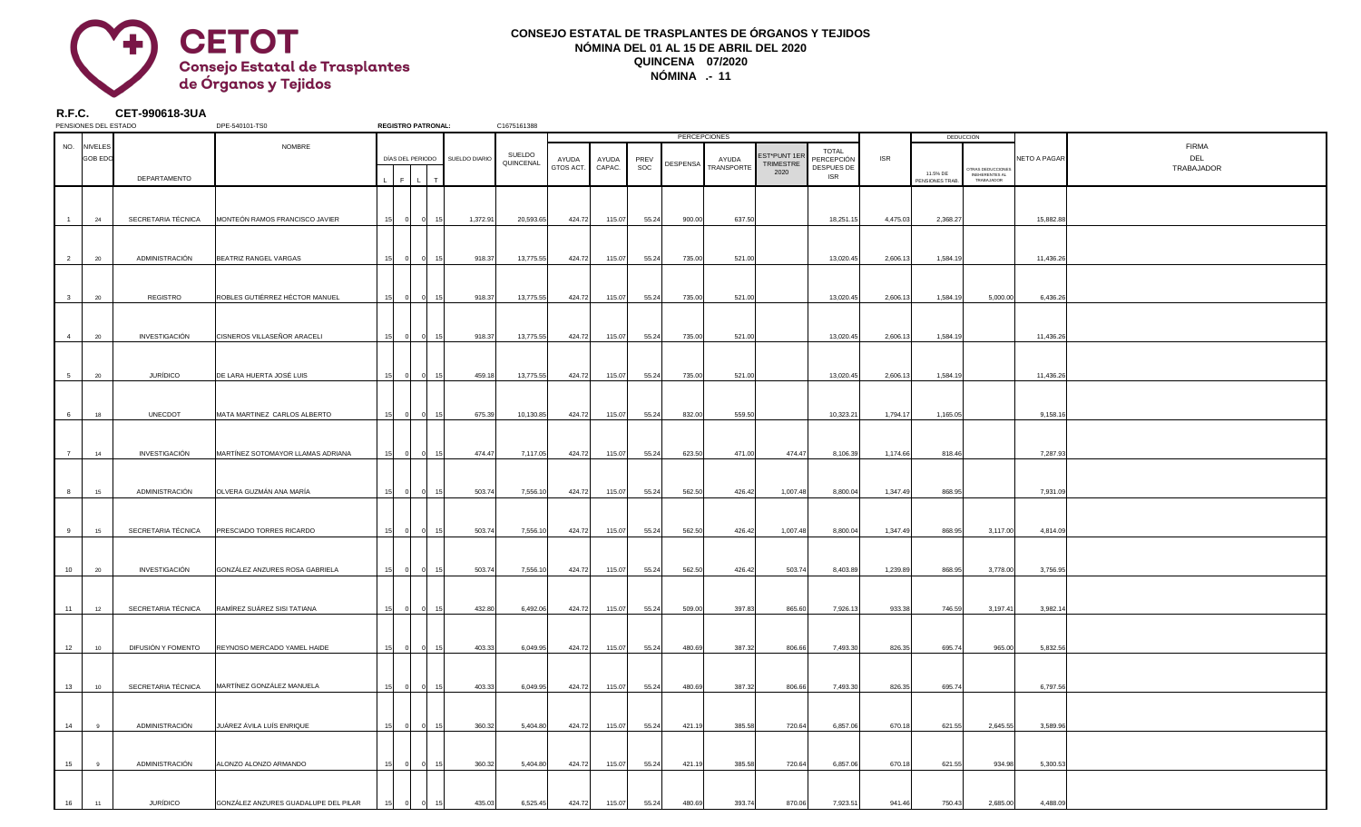## **R.F.C. CET-990618-3UA**

| PENSIONES DEL ESTADO |                |                    | DPE-540101-TS0                       | <b>REGISTRO PATRONAL:</b> |                |                                | C1675161388 |                    |                    |             |                 |                            |                  |                          |            |                             |                              |                     |                     |
|----------------------|----------------|--------------------|--------------------------------------|---------------------------|----------------|--------------------------------|-------------|--------------------|--------------------|-------------|-----------------|----------------------------|------------------|--------------------------|------------|-----------------------------|------------------------------|---------------------|---------------------|
|                      |                |                    |                                      |                           |                |                                |             |                    |                    |             |                 | <b>PERCEPCIONES</b>        |                  |                          |            |                             | DEDUCCIÓN                    |                     |                     |
|                      | NO. NIVELES    |                    | <b>NOMBRE</b>                        |                           |                |                                | SUELDO      |                    |                    |             |                 |                            | EST*PUNT 1ER     | <b>TOTAL</b>             | <b>ISR</b> |                             |                              | <b>NETO A PAGAR</b> | <b>FIRMA</b><br>DEL |
|                      | <b>GOB EDO</b> |                    |                                      |                           |                | DÍAS DEL PERIODO SUELDO DIARIO | QUINCENAL   | AYUDA<br>GTOS ACT. | AYUDA<br>$CAPAC$ . | PREV<br>SOC | <b>DESPENSA</b> | AYUDA<br><b>TRANSPORTE</b> | <b>TRIMESTRE</b> | PERCEPCIÓN<br>DESPUES DE |            |                             | OTRAS DEDUCCIONES            |                     | TRABAJADOR          |
|                      |                | DEPARTAMENTO       |                                      |                           |                |                                |             |                    |                    |             |                 |                            | 2020             | <b>ISR</b>               |            | 11.5% DE<br>PENSIONES TRAB. | INEHERENTES AL<br>TRABAJADOR |                     |                     |
|                      |                |                    |                                      |                           |                |                                |             |                    |                    |             |                 |                            |                  |                          |            |                             |                              |                     |                     |
|                      |                |                    |                                      |                           |                |                                |             |                    |                    |             |                 |                            |                  |                          |            |                             |                              |                     |                     |
| $\overline{1}$       | 24             | SECRETARIA TÉCNICA | MONTEÓN RAMOS FRANCISCO JAVIER       | 15                        | 01             | 1,372.91<br>15 <sup>1</sup>    | 20,593.65   | 424.72             | 115.07             | 55.24       | 900.00          | 637.50                     |                  | 18,251.15                | 4,475.03   | 2,368.2                     |                              | 15,882.88           |                     |
|                      |                |                    |                                      |                           |                |                                |             |                    |                    |             |                 |                            |                  |                          |            |                             |                              |                     |                     |
|                      |                |                    |                                      |                           |                |                                |             |                    |                    |             |                 |                            |                  |                          |            |                             |                              |                     |                     |
| $\overline{2}$       | 20             | ADMINISTRACIÓN     | BEATRIZ RANGEL VARGAS                |                           |                | 918.37                         | 13,775.55   | 424.72             | 115.07             | 55.24       | 735.00          | 521.00                     |                  | 13,020.45                | 2,606.13   | 1,584.1                     |                              | 11,436.26           |                     |
|                      |                |                    |                                      |                           |                |                                |             |                    |                    |             |                 |                            |                  |                          |            |                             |                              |                     |                     |
|                      |                |                    |                                      |                           |                |                                |             |                    |                    |             |                 |                            |                  |                          |            |                             |                              |                     |                     |
| 3                    | 20             | REGISTRO           | ROBLES GUTIÉRREZ HÉCTOR MANUEL       |                           | $\Omega$       | 918.37                         | 13,775.55   | 424.72             | 115.07             | 55.24       | 735.00          | 521.00                     |                  | 13,020.45                | 2,606.13   | 1,584.1                     | 5,000.00                     | 6,436.26            |                     |
|                      |                |                    |                                      |                           |                |                                |             |                    |                    |             |                 |                            |                  |                          |            |                             |                              |                     |                     |
|                      |                |                    |                                      |                           |                |                                |             |                    |                    |             |                 |                            |                  |                          |            |                             |                              |                     |                     |
| $\overline{4}$       | 20             | INVESTIGACIÓN      | CISNEROS VILLASEÑOR ARACELI          |                           |                | 918.37                         | 13,775.55   | 424.72             | 115.07             | 55.24       | 735.00          | 521.00                     |                  | 13,020.45                | 2,606.13   | 1,584.1                     |                              | 11,436.26           |                     |
|                      |                |                    |                                      |                           |                |                                |             |                    |                    |             |                 |                            |                  |                          |            |                             |                              |                     |                     |
|                      |                |                    |                                      |                           |                |                                |             |                    |                    |             |                 |                            |                  |                          |            |                             |                              |                     |                     |
| 5 <sup>5</sup>       | 20             | <b>JURÍDICO</b>    | DE LARA HUERTA JOSÉ LUIS             |                           |                | 459.18                         | 13,775.55   | 424.72             | 115.07             | 55.24       | 735.00          | 521.00                     |                  | 13,020.45                | 2,606.13   | 1,584.1                     |                              | 11,436.26           |                     |
|                      |                |                    |                                      |                           |                |                                |             |                    |                    |             |                 |                            |                  |                          |            |                             |                              |                     |                     |
|                      |                |                    |                                      |                           |                |                                |             |                    |                    |             |                 |                            |                  |                          |            |                             |                              |                     |                     |
| 6                    | 18             | <b>UNECDOT</b>     | MATA MARTINEZ CARLOS ALBERTO         |                           |                | 675.39                         | 10,130.85   | 424.72             | 115.07             | 55.24       | 832.00          | 559.50                     |                  | 10,323.21                | 1,794.17   | 1,165.05                    |                              | 9,158.16            |                     |
|                      |                |                    |                                      |                           |                |                                |             |                    |                    |             |                 |                            |                  |                          |            |                             |                              |                     |                     |
|                      |                |                    |                                      |                           |                |                                |             |                    |                    |             |                 |                            |                  |                          |            |                             |                              |                     |                     |
|                      | 14             | INVESTIGACIÓN      | MARTÍNEZ SOTOMAYOR LLAMAS ADRIANA    |                           |                | 474.47                         | 7,117.05    | 424.72             | 115.07             | 55.24       | 623.50          | 471.00                     | 474.47           | 8,106.39                 | 1,174.66   | 818.46                      |                              | 7,287.93            |                     |
|                      |                |                    |                                      |                           |                |                                |             |                    |                    |             |                 |                            |                  |                          |            |                             |                              |                     |                     |
|                      |                |                    |                                      |                           |                |                                |             |                    |                    |             |                 |                            |                  |                          |            |                             |                              |                     |                     |
| 8                    | 15             | ADMINISTRACIÓN     | OLVERA GUZMÁN ANA MARÍA              | 15<br>- വ                 | $\overline{0}$ | 15<br>503.74                   | 7,556.10    | 424.72             | 115.07             | 55.24       | 562.50          | 426.42                     | 1,007.48         | 8,800.04                 | 1,347.49   | 868.95                      |                              | 7,931.09            |                     |
|                      |                |                    |                                      |                           |                |                                |             |                    |                    |             |                 |                            |                  |                          |            |                             |                              |                     |                     |
|                      |                |                    |                                      |                           |                |                                |             |                    |                    |             |                 |                            |                  |                          |            |                             |                              |                     |                     |
| 9                    | 15             | SECRETARIA TÉCNICA | <b>PRESCIADO TORRES RICARDO</b>      | 15 <sub>l</sub>           | -01            | 503.74                         | 7,556.10    | 424.72             | 115.07             | 55.24       | 562.50          | 426.42                     | 1,007.48         | 8,800.04                 | 1,347.49   | 868.95                      | 3,117.00                     | 4,814.09            |                     |
|                      |                |                    |                                      |                           |                |                                |             |                    |                    |             |                 |                            |                  |                          |            |                             |                              |                     |                     |
|                      |                |                    |                                      |                           |                |                                |             |                    |                    |             |                 |                            |                  |                          |            |                             |                              |                     |                     |
| 10                   | 20             | INVESTIGACIÓN      | GONZÁLEZ ANZURES ROSA GABRIELA       | 15 <sup>1</sup>           |                | 503.74<br>15                   | 7,556.10    | 424.72             | 115.07             | 55.24       | 562.50          | 426.42                     | 503.74           | 8,403.89                 | 1,239.89   | 868.95                      | 3,778.00                     | 3,756.95            |                     |
|                      |                |                    |                                      |                           |                |                                |             |                    |                    |             |                 |                            |                  |                          |            |                             |                              |                     |                     |
|                      |                |                    | RAMÍREZ SUÁREZ SISI TATIANA          |                           |                |                                |             |                    |                    |             |                 |                            |                  |                          |            |                             |                              |                     |                     |
| 11                   | 12             | SECRETARIA TÉCNICA |                                      | 15 <sub>l</sub>           | -01            | 432.80                         | 6,492.06    | 424.72             | 115.07             | 55.24       | 509.00          | 397.83                     | 865.60           | 7,926.13                 | 933.38     | 746.59                      | 3,197.41                     | 3,982.14            |                     |
|                      |                |                    |                                      |                           |                |                                |             |                    |                    |             |                 |                            |                  |                          |            |                             |                              |                     |                     |
| 12                   | 10             | DIFUSIÓN Y FOMENTO | REYNOSO MERCADO YAMEL HAIDE          | 15 <sup>1</sup>           |                | 403.33                         | 6,049.95    | 424.72             | 115.07             | 55.24       | 480.69          | 387.32                     | 806.66           | 7,493.30                 | 826.35     | 695.74                      | 965.00                       | 5,832.56            |                     |
|                      |                |                    |                                      |                           |                |                                |             |                    |                    |             |                 |                            |                  |                          |            |                             |                              |                     |                     |
|                      |                |                    |                                      |                           |                |                                |             |                    |                    |             |                 |                            |                  |                          |            |                             |                              |                     |                     |
| 13                   | 10             | SECRETARIA TÉCNICA | MARTÍNEZ GONZÁLEZ MANUELA            | 15 <sub>l</sub>           | -01            | 403.33                         | 6,049.95    | 424.72             | 115.07             | 55.24       | 480.69          | 387.32                     | 806.66           | 7,493.30                 | 826.35     | 695.7                       |                              | 6,797.56            |                     |
|                      |                |                    |                                      |                           |                |                                |             |                    |                    |             |                 |                            |                  |                          |            |                             |                              |                     |                     |
|                      |                |                    |                                      |                           |                |                                |             |                    |                    |             |                 |                            |                  |                          |            |                             |                              |                     |                     |
| 14                   | 9              | ADMINISTRACIÓN     | JUÁREZ ÁVILA LUÍS ENRIQUE            | 15 <sup>1</sup>           | $\Omega$       | 360.32                         | 5,404.80    | 424.72             | 115.07             | 55.24       | 421.19          | 385.58                     | 720.64           | 6,857.06                 | 670.18     | 621.55                      | 2,645.55                     | 3,589.96            |                     |
|                      |                |                    |                                      |                           |                |                                |             |                    |                    |             |                 |                            |                  |                          |            |                             |                              |                     |                     |
|                      |                |                    |                                      |                           |                |                                |             |                    |                    |             |                 |                            |                  |                          |            |                             |                              |                     |                     |
| 15                   | 9              | ADMINISTRACIÓN     | ALONZO ALONZO ARMANDO                | 15 <sup>1</sup>           | -01            | 360.32                         | 5,404.80    | 424.72             | 115.07             | 55.24       | 421.19          | 385.58                     | 720.64           | 6,857.06                 | 670.18     | 621.55                      | 934.98                       | 5,300.53            |                     |
|                      |                |                    |                                      |                           |                |                                |             |                    |                    |             |                 |                            |                  |                          |            |                             |                              |                     |                     |
|                      |                |                    |                                      |                           |                |                                |             |                    |                    |             |                 |                            |                  |                          |            |                             |                              |                     |                     |
| 16                   | 11             | <b>JURÍDICO</b>    | GONZÁLEZ ANZURES GUADALUPE DEL PILAR |                           |                | 435.03                         | 6,525.45    | 424.72             | 115.07             | 55.24       | 480.69          | 393.74                     | 870.06           | 7,923.51                 | 941.46     | 750.43                      | 2,685.00                     | 4,488.09            |                     |
|                      |                |                    |                                      |                           |                |                                |             |                    |                    |             |                 |                            |                  |                          |            |                             |                              |                     |                     |

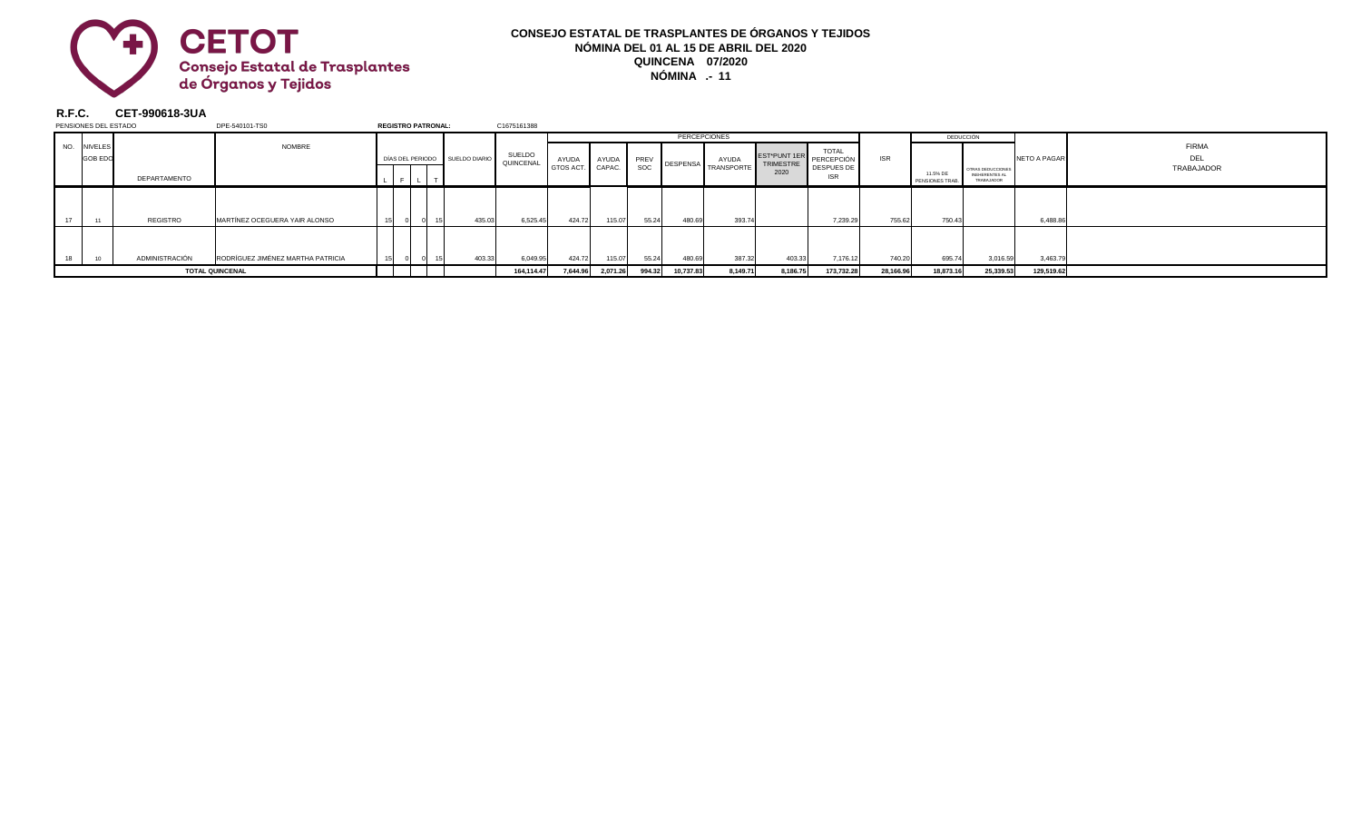## **R.F.C. CET-990618-3UA**



| PENSIONES DEL ESTADO   |                |                | DPE-540101-TS0                    | <b>REGISTRO PATRONAL:</b> |  |                                | C1675161388         |           |                 |             |           |                           |                  |                          |            |                            |                                                          |                     |            |
|------------------------|----------------|----------------|-----------------------------------|---------------------------|--|--------------------------------|---------------------|-----------|-----------------|-------------|-----------|---------------------------|------------------|--------------------------|------------|----------------------------|----------------------------------------------------------|---------------------|------------|
|                        |                |                |                                   |                           |  |                                | <b>PERCEPCIONES</b> |           |                 |             |           |                           |                  |                          | DEDUCCIÓN  |                            |                                                          |                     |            |
| NO.                    | <b>NIVELES</b> |                | NOMBRE                            |                           |  | SUELDO                         |                     |           |                 |             |           | EST*PUNT 1ER              | <b>TOTAL</b>     |                          |            |                            |                                                          | <b>FIRMA</b>        |            |
|                        | <b>GOB EDC</b> |                |                                   |                           |  | DÍAS DEL PERIODO SUELDO DIARIO | QUINCENAL           | AYUDA     | AYUDA<br>CAPAC. | PREV<br>SOC | DESPENSA  | AYUDA<br><b>TRANSPORT</b> | <b>TRIMESTRE</b> | PERCEPCIÓN               | <b>ISR</b> |                            |                                                          | <b>NETO A PAGAR</b> | DEL        |
|                        |                | DEPARTAMENTO   |                                   | $\sim$                    |  |                                |                     | GTOS ACT. |                 |             |           |                           | 2020             | DESPUES DE<br><b>ISR</b> |            | 11.5% DE<br>PENSIONES TRAE | OTRAS DEDUCCIONES<br><b>INEHERENTES AL</b><br>TRABAJADOR |                     | TRABAJADOR |
|                        |                |                |                                   |                           |  |                                |                     |           |                 |             |           |                           |                  |                          |            |                            |                                                          |                     |            |
|                        |                |                |                                   |                           |  |                                |                     |           |                 |             |           |                           |                  |                          |            |                            |                                                          |                     |            |
|                        |                | REGISTRO       | MARTÍNEZ OCEGUERA YAIR ALONSO     |                           |  | 435.03                         | 6,525.45            | 424.72    | 115.07          | 55.24       | 480.69    | 393.7                     |                  | 7,239.29                 | 755.62     | 750.4                      |                                                          | 6,488.8             |            |
|                        |                |                |                                   |                           |  |                                |                     |           |                 |             |           |                           |                  |                          |            |                            |                                                          |                     |            |
|                        |                | ADMINISTRACIÓN | RODRÍGUEZ JIMÉNEZ MARTHA PATRICIA |                           |  | 403.33                         | 6,049.95            | 424.72    | 115.07          | 55.24       | 480.69    | 387.32                    | 403.33           | 7,176.12                 | 740.20     | 695.74                     | 3,016.59                                                 | 3,463.7             |            |
| <b>TOTAL QUINCENAL</b> |                |                |                                   |                           |  |                                | 164,114.47          | 7,644.96  | 2,071.26        | 994.32      | 10,737.83 | 8,149.71                  | 8,186.75         | 173,732.28               | 28,166.96  | 18,873.16                  | 25,339.53                                                | 129,519.62          |            |